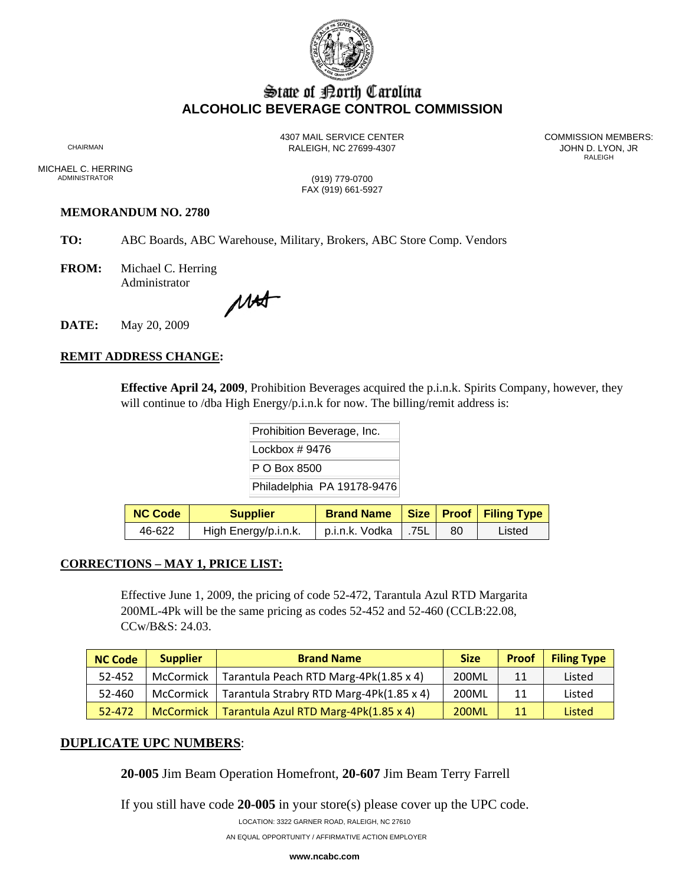

# State of Borth Carolina **ALCOHOLIC BEVERAGE CONTROL COMMISSION**

RALEIGH, NC 27699-4307 **CHAIRMAN RALEIGH, NC 27699-4307** 

4307 MAIL SERVICE CENTER<br>CHAIRMAN CHAIRMAN RAI FIGH NC 27699-4307 **RALEIGH** 

MICHAEL C. HERRING<br>ADMINISTRATOR

(919) 779-0700 FAX (919) 661-5927

### **MEMORANDUM NO. 2780**

- **TO:** ABC Boards, ABC Warehouse, Military, Brokers, ABC Store Comp. Vendors
- **FROM:** Michael C. Herring Administrator

MAST

**DATE:** May 20, 2009

## **REMIT ADDRESS CHANGE:**

**Effective April 24, 2009**, Prohibition Beverages acquired the p.i.n.k. Spirits Company, however, they will continue to /dba High Energy/p.i.n.k for now. The billing/remit address is:

> Prohibition Beverage, Inc. Lockbox # 9476 P O Box 8500 Philadelphia PA 19178-9476

| <b>NC Code</b> | <b>Supplier</b>      | <b>Brand Name</b>     |     | Size   Proof   Filing Type |
|----------------|----------------------|-----------------------|-----|----------------------------|
| 46-622         | High Energy/p.i.n.k. | p.i.n.k. Vodka   .75L | -80 | Listed                     |

#### **CORRECTIONS – MAY 1, PRICE LIST:**

Effective June 1, 2009, the pricing of code 52-472, Tarantula Azul RTD Margarita 200ML-4Pk will be the same pricing as codes 52-452 and 52-460 (CCLB:22.08, CCw/B&S: 24.03.

| <b>NC Code</b> | <b>Supplier</b>  | <b>Brand Name</b>                        | <b>Size</b>  | <b>Proof</b> | <b>Filing Type</b> |
|----------------|------------------|------------------------------------------|--------------|--------------|--------------------|
| 52-452         | McCormick        | Tarantula Peach RTD Marg-4Pk(1.85 x 4)   | 200ML        | 11           | Listed             |
| 52-460         | McCormick        | Tarantula Strabry RTD Marg-4Pk(1.85 x 4) | 200ML        | 11           | Listed             |
| 52-472         | <b>McCormick</b> | Tarantula Azul RTD Marg-4Pk(1.85 x 4)    | <b>200ML</b> | 11           | Listed             |

## **DUPLICATE UPC NUMBERS**:

**20-005** Jim Beam Operation Homefront, **20-607** Jim Beam Terry Farrell

If you still have code **20-005** in your store(s) please cover up the UPC code.

LOCATION: 3322 GARNER ROAD, RALEIGH, NC 27610

AN EQUAL OPPORTUNITY / AFFIRMATIVE ACTION EMPLOYER